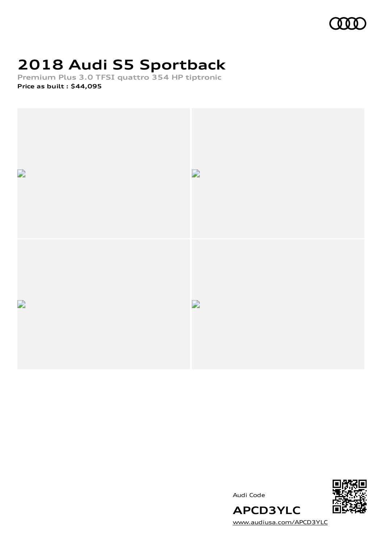# **2018 Audi S5 Sportback**

**Premium Plus 3.0 TFSI quattro 354 HP tiptronic Price as built [:](#page-8-0) \$44,095**







Audi Code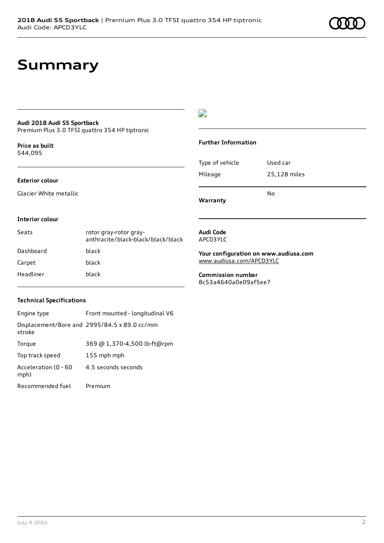#### **Audi 2018 Audi S5 Sportback**

Premium Plus 3.0 TFSI quattro 354 HP tiptronic

**Price as buil[t](#page-8-0)** \$44,095

#### **Exterior colour**

Glacier White metallic

#### $\overline{\phantom{a}}$

#### **Further Information**

Type of vehicle Used car Mileage 25,128 miles No

**Warranty**

#### **Interior colour**

| Seats     | rotor gray-rotor gray-<br>anthracite/black-black/black/black |
|-----------|--------------------------------------------------------------|
| Dashboard | black                                                        |
| Carpet    | black                                                        |
| Headliner | black                                                        |

#### **Audi Code** APCD3YLC

**Your configuration on www.audiusa.com** [www.audiusa.com/APCD3YLC](https://www.audiusa.com/APCD3YLC)

**Commission number** 8c53a4640a0e09af5ee7

#### **Technical Specifications**

| Engine type                  | Front mounted - longitudinal V6              |
|------------------------------|----------------------------------------------|
| stroke                       | Displacement/Bore and 2995/84.5 x 89.0 cc/mm |
| Torque                       | 369 @ 1,370-4,500 lb-ft@rpm                  |
| Top track speed              | 155 mph mph                                  |
| Acceleration (0 - 60<br>mph) | 4.5 seconds seconds                          |
| Recommended fuel             | Premium                                      |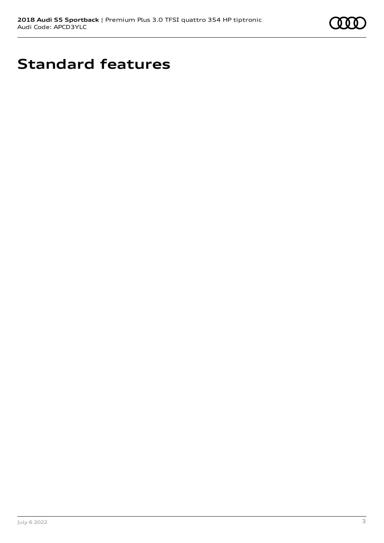

# **Standard features**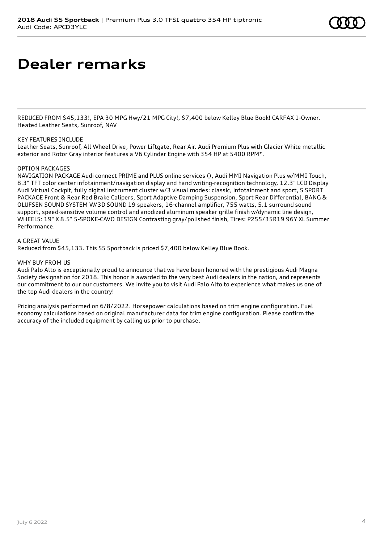### **Dealer remarks**

REDUCED FROM \$45,133!, EPA 30 MPG Hwy/21 MPG City!, \$7,400 below Kelley Blue Book! CARFAX 1-Owner. Heated Leather Seats, Sunroof, NAV

#### KEY FEATURES INCLUDE

Leather Seats, Sunroof, All Wheel Drive, Power Liftgate, Rear Air. Audi Premium Plus with Glacier White metallic exterior and Rotor Gray interior features a V6 Cylinder Engine with 354 HP at 5400 RPM\*.

#### OPTION PACKAGES

NAVIGATION PACKAGE Audi connect PRIME and PLUS online services (), Audi MMI Navigation Plus w/MMI Touch, 8.3" TFT color center infotainment/navigation display and hand writing-recognition technology, 12.3" LCD Display Audi Virtual Cockpit, fully digital instrument cluster w/3 visual modes: classic, infotainment and sport, S SPORT PACKAGE Front & Rear Red Brake Calipers, Sport Adaptive Damping Suspension, Sport Rear Differential, BANG & OLUFSEN SOUND SYSTEM W/3D SOUND 19 speakers, 16-channel amplifier, 755 watts, 5.1 surround sound support, speed-sensitive volume control and anodized aluminum speaker grille finish w/dynamic line design, WHEELS: 19" X 8.5" 5-SPOKE-CAVO DESIGN Contrasting gray/polished finish, Tires: P255/35R19 96Y XL Summer Performance.

#### A GREAT VALUE

Reduced from \$45,133. This S5 Sportback is priced \$7,400 below Kelley Blue Book.

#### WHY BUY FROM US

Audi Palo Alto is exceptionally proud to announce that we have been honored with the prestigious Audi Magna Society designation for 2018. This honor is awarded to the very best Audi dealers in the nation, and represents our commitment to our our customers. We invite you to visit Audi Palo Alto to experience what makes us one of the top Audi dealers in the country!

Pricing analysis performed on 6/8/2022. Horsepower calculations based on trim engine configuration. Fuel economy calculations based on original manufacturer data for trim engine configuration. Please confirm the accuracy of the included equipment by calling us prior to purchase.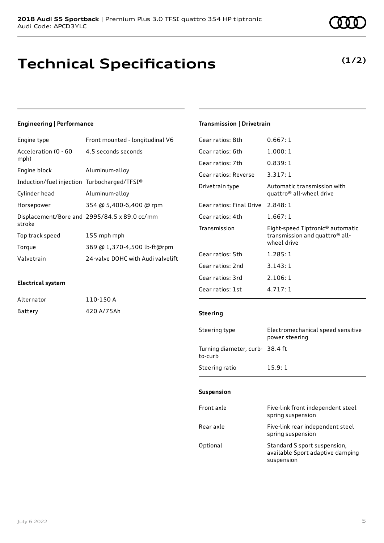### **Technical Specifications**

#### **Engineering | Performance**

| Front mounted - longitudinal V6              |
|----------------------------------------------|
| 4.5 seconds seconds                          |
| Aluminum-alloy                               |
| Induction/fuel injection Turbocharged/TFSI®  |
| Aluminum-alloy                               |
| 354 @ 5,400-6,400 @ rpm                      |
| Displacement/Bore and 2995/84.5 x 89.0 cc/mm |
| 155 mph mph                                  |
| 369 @ 1,370-4,500 lb-ft@rpm                  |
| 24-valve DOHC with Audi valvelift            |
|                                              |

### **Electrical system**

| Alternator | 110-150 A  |
|------------|------------|
| Battery    | 420 A/75Ah |

### **Transmission | Drivetrain**

| Gear ratios: 8th         | 0.667:1                                                                                       |
|--------------------------|-----------------------------------------------------------------------------------------------|
| Gear ratios: 6th         | 1.000:1                                                                                       |
| Gear ratios: 7th         | 0.839:1                                                                                       |
| Gear ratios: Reverse     | 3.317:1                                                                                       |
| Drivetrain type          | Automatic transmission with<br>quattro <sup>®</sup> all-wheel drive                           |
| Gear ratios: Final Drive | 2.848:1                                                                                       |
| Gear ratios: 4th         | 1.667:1                                                                                       |
| Transmission             | Eight-speed Tiptronic® automatic<br>transmission and quattro <sup>®</sup> all-<br>wheel drive |
| Gear ratios: 5th         | 1.285:1                                                                                       |
| Gear ratios: 2nd         | 3.143:1                                                                                       |
| Gear ratios: 3rd         | 2.106:1                                                                                       |
| Gear ratios: 1st         | 4.717:1                                                                                       |
|                          |                                                                                               |

#### **Steering**

| Steering type                             | Electromechanical speed sensitive<br>power steering |
|-------------------------------------------|-----------------------------------------------------|
| Turning diameter, curb-38.4 ft<br>to-curb |                                                     |
| Steering ratio                            | 15.9:1                                              |

#### **Suspension**

| Front axle | Five-link front independent steel<br>spring suspension                         |
|------------|--------------------------------------------------------------------------------|
| Rear axle  | Five-link rear independent steel<br>spring suspension                          |
| Optional   | Standard S sport suspension,<br>available Sport adaptive damping<br>suspension |



### **(1/2)**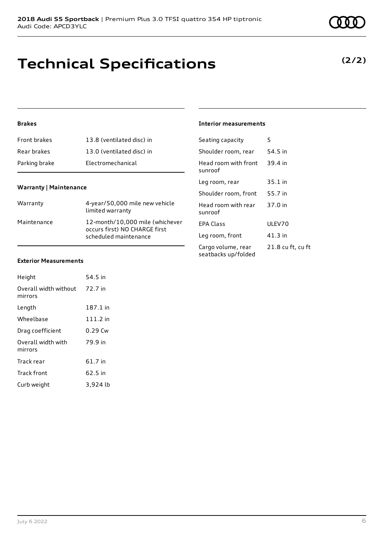### **Technical Specifications**

#### **Brakes**

| Front brakes  | 13.8 (ventilated disc) in |
|---------------|---------------------------|
| Rear brakes   | 13.0 (ventilated disc) in |
| Parking brake | Electromechanical         |

#### **Warranty | Maintenance**

| Warranty    | 4-year/50,000 mile new vehicle<br>limited warranty                                        |
|-------------|-------------------------------------------------------------------------------------------|
| Maintenance | 12-month/10,000 mile (whichever<br>occurs first) NO CHARGE first<br>scheduled maintenance |

#### **Exterior Measurements**

| Height                           | 54.5 in    |
|----------------------------------|------------|
| Overall width without<br>mirrors | 72.7 in    |
| Length                           | 187.1 in   |
| Wheelbase                        | $111.2$ in |
| Drag coefficient                 | $0.29$ Cw  |
| Overall width with<br>mirrors    | 79.9 in    |
| Track rear                       | 61.7 in    |
| <b>Track front</b>               | 62.5 in    |
| Curb weight                      | 3,924 lb   |

#### **Interior measurements**

| Seating capacity                          | 5                 |
|-------------------------------------------|-------------------|
| Shoulder room, rear                       | 54.5 in           |
| Head room with front<br>sunroof           | 39.4 in           |
| Leg room, rear                            | $35.1$ in         |
| Shoulder room, front                      | 55.7 in           |
| Head room with rear<br>sunroof            | 37.0 in           |
| <b>FPA Class</b>                          | ULFV70            |
| Leg room, front                           | $41.3$ in         |
| Cargo volume, rear<br>seatbacks up/folded | 21.8 cu ft, cu ft |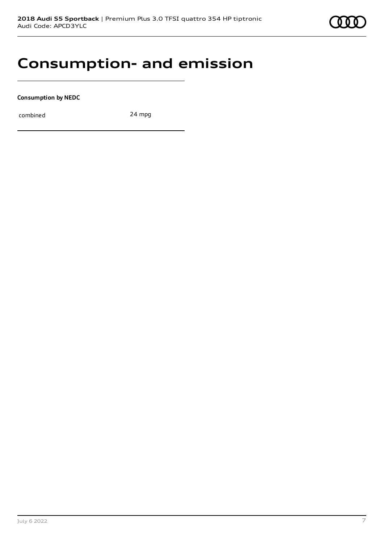

### **Consumption- and emission**

**Consumption by NEDC**

combined 24 mpg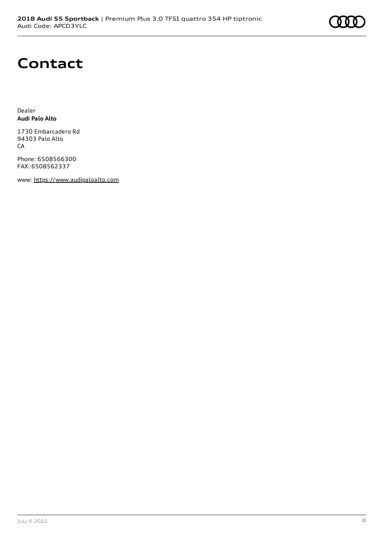## **Contact**

Dealer **Audi Palo Alto**

1730 Embarcadero Rd 94303 Palo Alto CA

Phone: 6508566300 FAX: 6508562337

www: [https://www.audipaloalto.com](https://www.audipaloalto.com/)